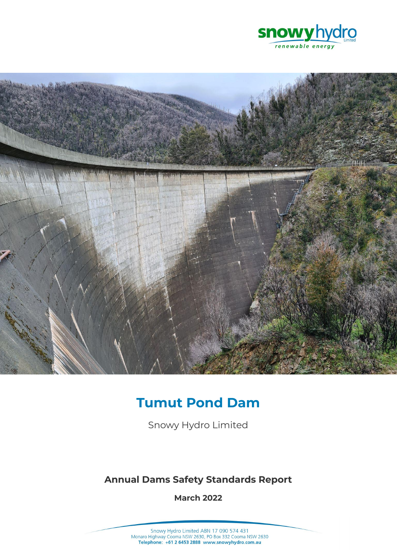



# **Tumut Pond Dam**

Snowy Hydro Limited

# **Annual Dams Safety Standards Report**

**March 2022**

Snowy Hydro Limited ABN 17 090 574 431<br>Monaro Highway Cooma NSW 2630, PO Box 332 Cooma NSW 2630<br>Telephone: +61 2 6453 2888 www.snowyhydro.com.au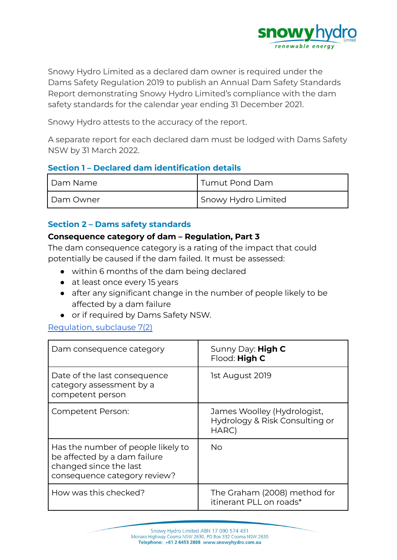

Snowy Hydro Limited as a declared dam owner is required under the Dams Safety Regulation 2019 to publish an Annual Dam Safety Standards Report demonstrating Snowy Hydro Limited's compliance with the dam safety standards for the calendar year ending 31 December 2021.

Snowy Hydro attests to the accuracy of the report.

A separate report for each declared dam must be lodged with Dams Safety NSW by 31 March 2022.

#### **Section 1 – Declared dam identification details**

| Dam Name  | 'Tumut Pond Dam     |
|-----------|---------------------|
| Dam Owner | Snowy Hydro Limited |

#### **Section 2 – Dams safety standards**

#### **Consequence category of dam – Regulation, Part 3**

The dam consequence category is a rating of the impact that could potentially be caused if the dam failed. It must be assessed:

- within 6 months of the dam being declared
- at least once every 15 years
- after any significant change in the number of people likely to be affected by a dam failure
- or if required by Dams Safety NSW.

#### [Regulation,](https://legislation.nsw.gov.au/view/html/inforce/current/sl-2019-0506#sec.7) subclause 7(2)

| Dam consequence category                                                                                                     | Sunny Day: <b>High C</b><br>Flood: High C                              |
|------------------------------------------------------------------------------------------------------------------------------|------------------------------------------------------------------------|
| Date of the last consequence<br>category assessment by a<br>competent person                                                 | 1st August 2019                                                        |
| Competent Person:                                                                                                            | James Woolley (Hydrologist,<br>Hydrology & Risk Consulting or<br>HARC) |
| Has the number of people likely to<br>be affected by a dam failure<br>changed since the last<br>consequence category review? | No                                                                     |
| How was this checked?                                                                                                        | The Graham (2008) method for<br>itinerant PLL on roads*                |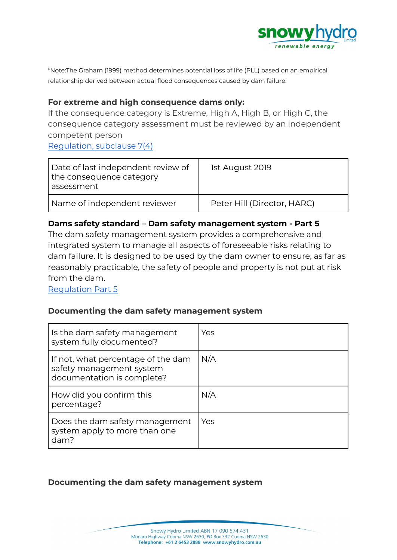

\*Note:The Graham (1999) method determines potential loss of life (PLL) based on an empirical relationship derived between actual flood consequences caused by dam failure.

#### **For extreme and high consequence dams only:**

If the consequence category is Extreme, High A, High B, or High C, the consequence category assessment must be reviewed by an independent competent person

[Regulation,](https://legislation.nsw.gov.au/view/html/inforce/current/sl-2019-0506#sec.7) subclause 7(4)

| Date of last independent review of<br>the consequence category<br>assessment | 1st August 2019             |
|------------------------------------------------------------------------------|-----------------------------|
| Name of independent reviewer                                                 | Peter Hill (Director, HARC) |

#### **Dams safety standard – Dam safety management system - Part 5**

The dam safety management system provides a comprehensive and integrated system to manage all aspects of foreseeable risks relating to dam failure. It is designed to be used by the dam owner to ensure, as far as reasonably practicable, the safety of people and property is not put at risk from the dam.

[Regulation](https://legislation.nsw.gov.au/view/html/inforce/current/sl-2019-0506#pt.5) Part 5

# **Documenting the dam safety management system**

| Is the dam safety management<br>system fully documented?                                     | Yes |
|----------------------------------------------------------------------------------------------|-----|
| If not, what percentage of the dam<br>safety management system<br>documentation is complete? | N/A |
| How did you confirm this<br>percentage?                                                      | N/A |
| Does the dam safety management<br>system apply to more than one<br>dam?                      | Yes |

#### **Documenting the dam safety management system**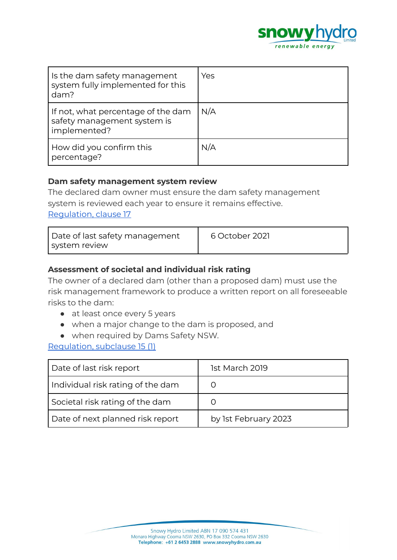

| Is the dam safety management<br>system fully implemented for this<br>dam?         | Yes |
|-----------------------------------------------------------------------------------|-----|
| If not, what percentage of the dam<br>safety management system is<br>implemented? | N/A |
| How did you confirm this<br>percentage?                                           | N/A |

#### **Dam safety management system review**

The declared dam owner must ensure the dam safety management system is reviewed each year to ensure it remains effective. [Regulation,](https://legislation.nsw.gov.au/view/html/inforce/current/sl-2019-0506#sec.17) clause 17

| Date of last safety management | 6 October 2021 |
|--------------------------------|----------------|
| system review                  |                |

#### **Assessment of societal and individual risk rating**

The owner of a declared dam (other than a proposed dam) must use the risk management framework to produce a written report on all foreseeable risks to the dam:

- at least once every 5 years
- when a major change to the dam is proposed, and
- when required by Dams Safety NSW.

#### [Regulation,](https://legislation.nsw.gov.au/view/html/inforce/current/sl-2019-0506#sec.15) subclause 15 (1)

| Date of last risk report          | 1st March 2019       |
|-----------------------------------|----------------------|
| Individual risk rating of the dam |                      |
| Societal risk rating of the dam   |                      |
| Date of next planned risk report  | by 1st February 2023 |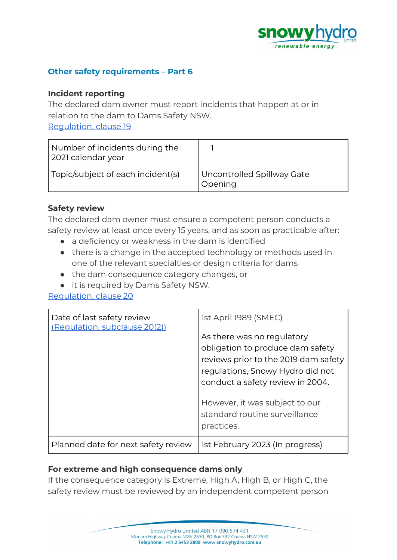

#### **Other safety requirements – Part 6**

#### **Incident reporting**

The declared dam owner must report incidents that happen at or in relation to the dam to Dams Safety NSW.

[Regulation,](https://legislation.nsw.gov.au/view/html/inforce/current/sl-2019-0506#sec.19) clause 19

| Number of incidents during the<br>2021 calendar year |                                       |
|------------------------------------------------------|---------------------------------------|
| Topic/subject of each incident(s)                    | Uncontrolled Spillway Gate<br>Opening |

#### **Safety review**

The declared dam owner must ensure a competent person conducts a safety review at least once every 15 years, and as soon as practicable after:

- a deficiency or weakness in the dam is identified
- there is a change in the accepted technology or methods used in one of the relevant specialties or design criteria for dams
- the dam consequence category changes, or
- it is required by Dams Safety NSW.

[Regulation,](https://legislation.nsw.gov.au/view/html/inforce/current/sl-2019-0506#sec.20) clause 20

| Date of last safety review<br>(Regulation, subclause 20(2)) | 1st April 1989 (SMEC)<br>As there was no regulatory<br>obligation to produce dam safety<br>reviews prior to the 2019 dam safety<br>regulations, Snowy Hydro did not<br>conduct a safety review in 2004.<br>However, it was subject to our<br>standard routine surveillance |
|-------------------------------------------------------------|----------------------------------------------------------------------------------------------------------------------------------------------------------------------------------------------------------------------------------------------------------------------------|
|                                                             | practices.                                                                                                                                                                                                                                                                 |
| Planned date for next safety review                         | 1st February 2023 (In progress)                                                                                                                                                                                                                                            |

# **For extreme and high consequence dams only**

If the consequence category is Extreme, High A, High B, or High C, the safety review must be reviewed by an independent competent person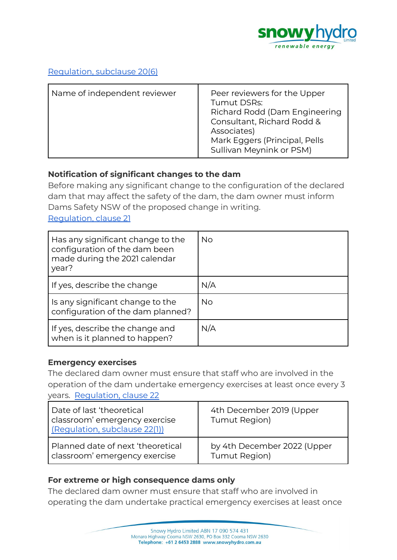

#### [Regulation,](https://legislation.nsw.gov.au/view/html/inforce/current/sl-2019-0506#sec.7) subclause 20(6)

| Name of independent reviewer | Peer reviewers for the Upper<br>Tumut DSRs:<br>Richard Rodd (Dam Engineering<br>Consultant, Richard Rodd &<br>Associates)<br>Mark Eggers (Principal, Pells<br>Sullivan Meynink or PSM) |
|------------------------------|----------------------------------------------------------------------------------------------------------------------------------------------------------------------------------------|
|------------------------------|----------------------------------------------------------------------------------------------------------------------------------------------------------------------------------------|

# **Notification of significant changes to the dam**

Before making any significant change to the configuration of the declared dam that may affect the safety of the dam, the dam owner must inform Dams Safety NSW of the proposed change in writing.

[Regulation,](https://legislation.nsw.gov.au/view/html/inforce/current/sl-2019-0506#sec.21) clause 21

| Has any significant change to the<br>configuration of the dam been<br>made during the 2021 calendar<br>year? | No  |
|--------------------------------------------------------------------------------------------------------------|-----|
| If yes, describe the change                                                                                  | N/A |
| Is any significant change to the<br>configuration of the dam planned?                                        | No. |
| If yes, describe the change and<br>when is it planned to happen?                                             | N/A |

#### **Emergency exercises**

The declared dam owner must ensure that staff who are involved in the operation of the dam undertake emergency exercises at least once every 3 years. [Regulation,](https://legislation.nsw.gov.au/view/html/inforce/current/sl-2019-0506#sec.22) clause 22

| Date of last 'theoretical<br>classroom' emergency exercise<br>(Regulation, subclause 22(1)) | 4th December 2019 (Upper<br>Tumut Region) |
|---------------------------------------------------------------------------------------------|-------------------------------------------|
| Planned date of next 'theoretical                                                           | by 4th December 2022 (Upper               |
| classroom' emergency exercise                                                               | Tumut Region)                             |

#### **For extreme or high consequence dams only**

The declared dam owner must ensure that staff who are involved in operating the dam undertake practical emergency exercises at least once